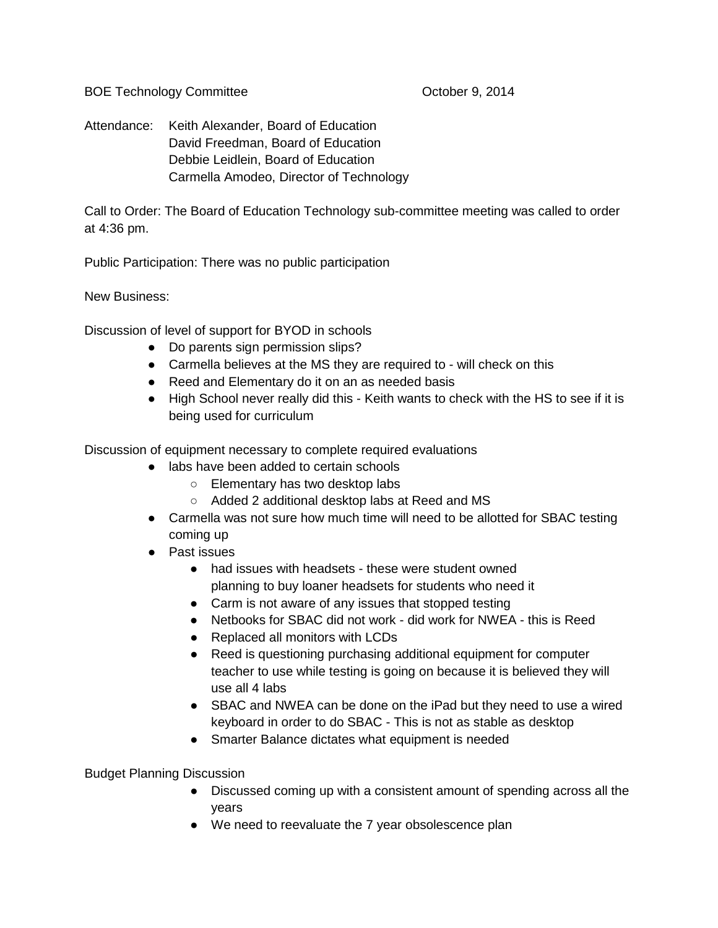BOE Technology Committee **Department Controllery** Controllery October 9, 2014

Attendance: Keith Alexander, Board of Education David Freedman, Board of Education Debbie Leidlein, Board of Education Carmella Amodeo, Director of Technology

Call to Order: The Board of Education Technology sub-committee meeting was called to order at 4:36 pm.

Public Participation: There was no public participation

New Business:

Discussion of level of support for BYOD in schools

- Do parents sign permission slips?
- Carmella believes at the MS they are required to will check on this
- Reed and Elementary do it on an as needed basis
- High School never really did this Keith wants to check with the HS to see if it is being used for curriculum

Discussion of equipment necessary to complete required evaluations

- labs have been added to certain schools
	- Elementary has two desktop labs
	- Added 2 additional desktop labs at Reed and MS
- Carmella was not sure how much time will need to be allotted for SBAC testing coming up
- Past issues
	- had issues with headsets these were student owned planning to buy loaner headsets for students who need it
	- Carm is not aware of any issues that stopped testing
	- Netbooks for SBAC did not work did work for NWEA this is Reed
	- Replaced all monitors with LCDs
	- Reed is questioning purchasing additional equipment for computer teacher to use while testing is going on because it is believed they will use all 4 labs
	- SBAC and NWEA can be done on the iPad but they need to use a wired keyboard in order to do SBAC - This is not as stable as desktop
	- Smarter Balance dictates what equipment is needed

Budget Planning Discussion

- Discussed coming up with a consistent amount of spending across all the years
- We need to reevaluate the 7 year obsolescence plan